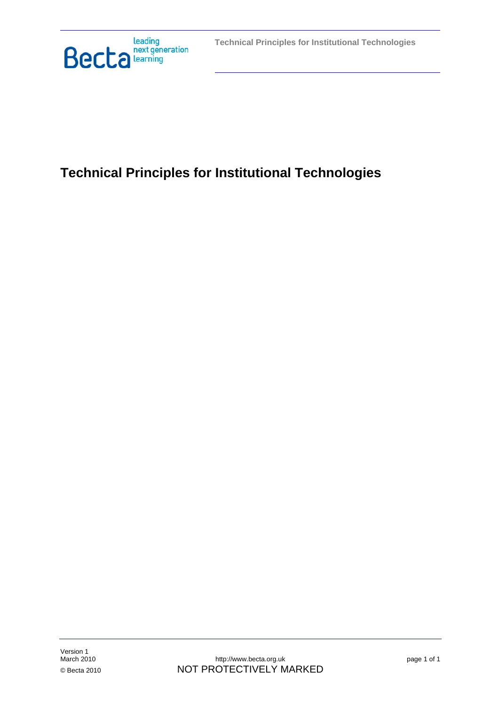

# **Technical Principles for Institutional Technologies**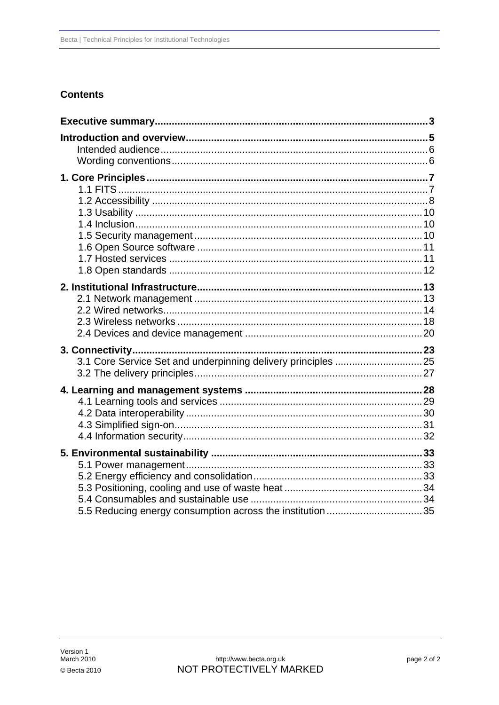# **Contents**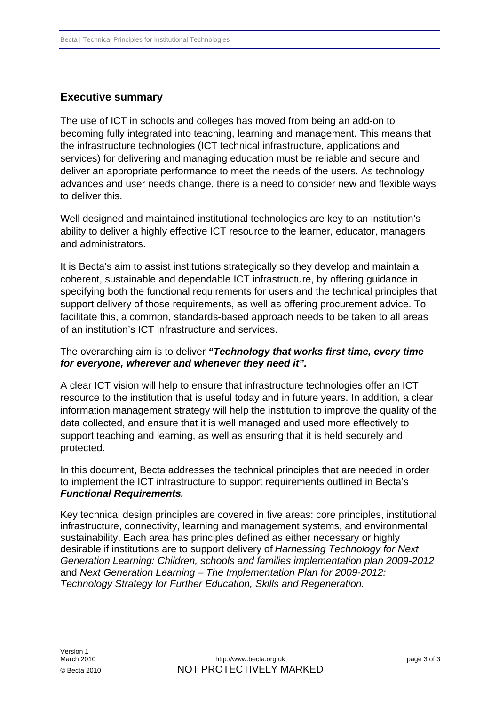# <span id="page-2-0"></span>**Executive summary**

The use of ICT in schools and colleges has moved from being an add-on to becoming fully integrated into teaching, learning and management. This means that the infrastructure technologies (ICT technical infrastructure, applications and services) for delivering and managing education must be reliable and secure and deliver an appropriate performance to meet the needs of the users. As technology advances and user needs change, there is a need to consider new and flexible ways to deliver this.

Well designed and maintained institutional technologies are key to an institution's ability to deliver a highly effective ICT resource to the learner, educator, managers and administrators.

It is Becta's aim to assist institutions strategically so they develop and maintain a coherent, sustainable and dependable ICT infrastructure, by offering guidance in specifying both the functional requirements for users and the technical principles that support delivery of those requirements, as well as offering procurement advice. To facilitate this, a common, standards-based approach needs to be taken to all areas of an institution's ICT infrastructure and services.

# The overarching aim is to deliver *"Technology that works first time, every time for everyone, wherever and whenever they need it".*

A clear ICT vision will help to ensure that infrastructure technologies offer an ICT resource to the institution that is useful today and in future years. In addition, a clear information management strategy will help the institution to improve the quality of the data collected, and ensure that it is well managed and used more effectively to support teaching and learning, as well as ensuring that it is held securely and protected.

In this document, Becta addresses the technical principles that are needed in order to implement the ICT infrastructure to support requirements outlined in Becta's *Functional Requirements.*

Key technical design principles are covered in five areas: core principles, institutional infrastructure, connectivity, learning and management systems, and environmental sustainability. Each area has principles defined as either necessary or highly desirable if institutions are to support delivery of *Harnessing Technology for Next Generation Learning: Children, schools and families implementation plan 2009-2012*  and *Next Generation Learning – The Implementation Plan for 2009-2012: Technology Strategy for Further Education, Skills and Regeneration.*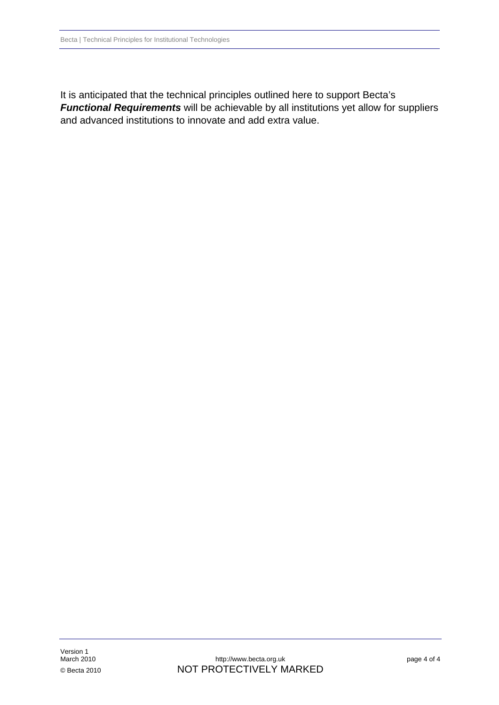It is anticipated that the technical principles outlined here to support Becta's *Functional Requirements* will be achievable by all institutions yet allow for suppliers and advanced institutions to innovate and add extra value.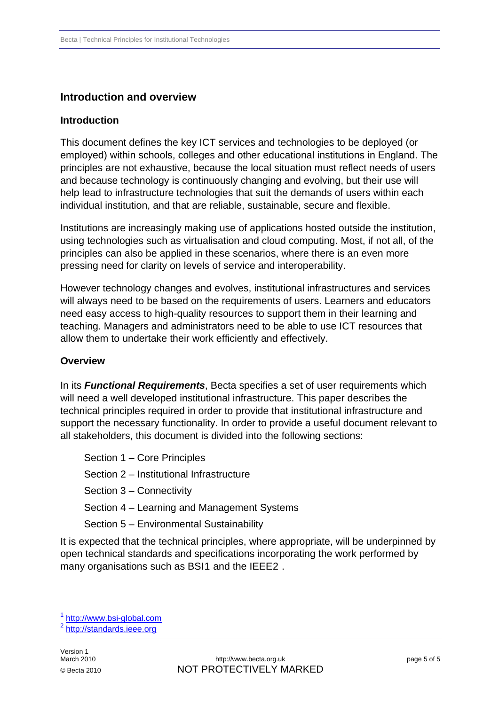# <span id="page-4-0"></span>**Introduction and overview**

# **Introduction**

This document defines the key ICT services and technologies to be deployed (or employed) within schools, colleges and other educational institutions in England. The principles are not exhaustive, because the local situation must reflect needs of users and because technology is continuously changing and evolving, but their use will help lead to infrastructure technologies that suit the demands of users within each individual institution, and that are reliable, sustainable, secure and flexible.

Institutions are increasingly making use of applications hosted outside the institution, using technologies such as virtualisation and cloud computing. Most, if not all, of the principles can also be applied in these scenarios, where there is an even more pressing need for clarity on levels of service and interoperability.

However technology changes and evolves, institutional infrastructures and services will always need to be based on the requirements of users. Learners and educators need easy access to high-quality resources to support them in their learning and teaching. Managers and administrators need to be able to use ICT resources that allow them to undertake their work efficiently and effectively.

### **Overview**

In its *Functional Requirements*, Becta specifies a set of user requirements which will need a well developed institutional infrastructure. This paper describes the technical principles required in order to provide that institutional infrastructure and support the necessary functionality. In order to provide a useful document relevant to all stakeholders, this document is divided into the following sections:

Section 1 – Core Principles

Section 2 – Institutional Infrastructure

Section 3 – Connectivity

Section 4 – Learning and Management Systems

Section 5 – Environmental Sustainability

It is expected that the technical principles, where appropriate, will be underpinned by open technical standards and specifications incorporating the work performed by many organisations such as BSI[1](#page-4-1) and the IEEE[2](#page-4-2).

1

<span id="page-4-2"></span><span id="page-4-1"></span> $\frac{1}{2}$  http://www.bsi-global.com<br> $\frac{2}{1}$  http://standards.ieee.org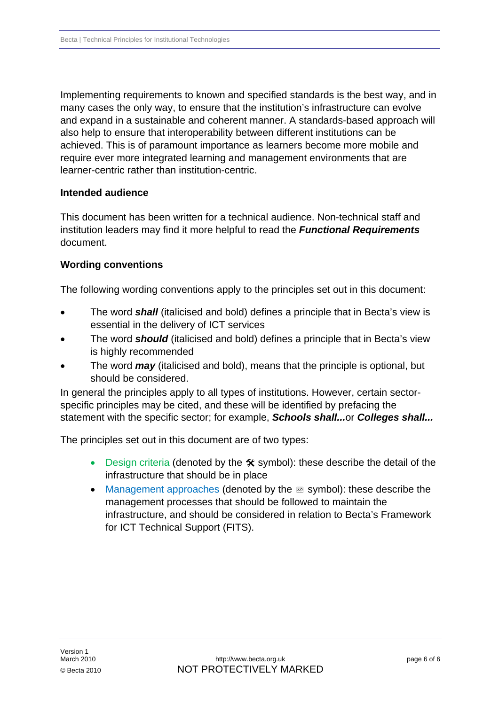<span id="page-5-0"></span>Implementing requirements to known and specified standards is the best way, and in many cases the only way, to ensure that the institution's infrastructure can evolve and expand in a sustainable and coherent manner. A standards-based approach will also help to ensure that interoperability between different institutions can be achieved. This is of paramount importance as learners become more mobile and require ever more integrated learning and management environments that are learner-centric rather than institution-centric.

### **Intended audience**

This document has been written for a technical audience. Non-technical staff and institution leaders may find it more helpful to read the *Functional Requirements* document.

### **Wording conventions**

The following wording conventions apply to the principles set out in this document:

- The word *shall* (italicised and bold) defines a principle that in Becta's view is essential in the delivery of ICT services
- The word *should* (italicised and bold) defines a principle that in Becta's view is highly recommended
- The word *may* (italicised and bold), means that the principle is optional, but should be considered.

In general the principles apply to all types of institutions. However, certain sectorspecific principles may be cited, and these will be identified by prefacing the statement with the specific sector; for example, *Schools shall...*or *Colleges shall...*

The principles set out in this document are of two types:

- Design criteria (denoted by the  $\hat{\mathbf{x}}$  symbol): these describe the detail of the infrastructure that should be in place
- Management approaches (denoted by the  $\mathbb B$  symbol): these describe the management processes that should be followed to maintain the infrastructure, and should be considered in relation to Becta's Framework for ICT Technical Support (FITS).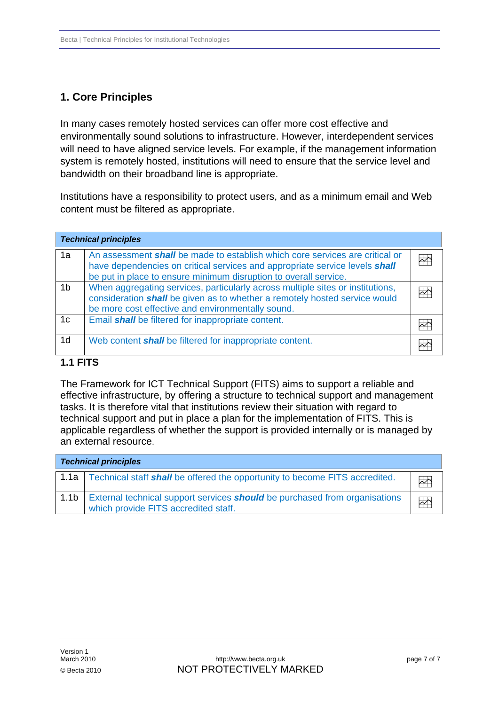# <span id="page-6-0"></span>**1. Core Principles**

In many cases remotely hosted services can offer more cost effective and environmentally sound solutions to infrastructure. However, interdependent services will need to have aligned service levels. For example, if the management information system is remotely hosted, institutions will need to ensure that the service level and bandwidth on their broadband line is appropriate.

Institutions have a responsibility to protect users, and as a minimum email and Web content must be filtered as appropriate.

|                | <b>Technical principles</b>                                                                                                                                                                                                            |                         |
|----------------|----------------------------------------------------------------------------------------------------------------------------------------------------------------------------------------------------------------------------------------|-------------------------|
| 1a             | An assessment <b>shall</b> be made to establish which core services are critical or<br>have dependencies on critical services and appropriate service levels shall<br>be put in place to ensure minimum disruption to overall service. | $\overline{\mathbb{R}}$ |
| 1 <sub>b</sub> | When aggregating services, particularly across multiple sites or institutions,<br>consideration shall be given as to whether a remotely hosted service would<br>be more cost effective and environmentally sound.                      | $\overline{\sim}$       |
| 1 <sub>c</sub> | Email shall be filtered for inappropriate content.                                                                                                                                                                                     |                         |
| 1 <sub>d</sub> | Web content shall be filtered for inappropriate content.                                                                                                                                                                               |                         |

# **1.1 FITS**

The Framework for ICT Technical Support (FITS) aims to support a reliable and effective infrastructure, by offering a structure to technical support and management technical support and put in place a plan for the implementation of FITS. This is applicable regardless of whether the support is provided internally or is managed by tasks. It is therefore vital that institutions review their situation with regard to an external resource.

| <b>Technical principles</b> |                                                                                                                           |                         |
|-----------------------------|---------------------------------------------------------------------------------------------------------------------------|-------------------------|
|                             | 1.1a   Technical staff <b>shall</b> be offered the opportunity to become FITS accredited.                                 | $\overline{\sim}$       |
| 1.1 <sub>b</sub>            | External technical support services <b>should</b> be purchased from organisations<br>which provide FITS accredited staff. | $\overline{\mathbb{R}}$ |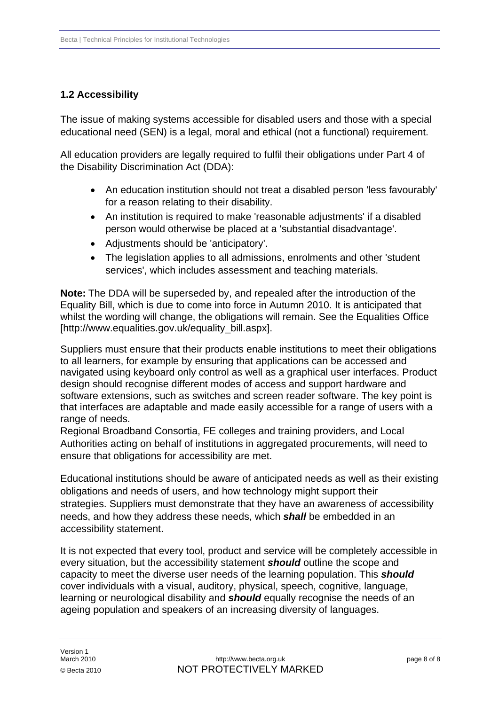# <span id="page-7-0"></span>**1.2 Accessibility**

The issue of making systems accessible for disabled users and those with a special educational need (SEN) is a legal, moral and ethical (not a functional) requirement.

All education providers are legally required to fulfil their obligations under Part 4 of the Disability Discrimination Act (DDA):

- An education institution should not treat a disabled person 'less favourably' for a reason relating to their disability.
- An institution is required to make 'reasonable adjustments' if a disabled person would otherwise be placed at a 'substantial disadvantage'.
- Adjustments should be 'anticipatory'.
- The legislation applies to all admissions, enrolments and other 'student services', which includes assessment and teaching materials.

**Note:** The DDA will be superseded by, and repealed after the introduction of the Equality Bill, which is due to come into force in Autumn 2010. It is anticipated that whilst the wording will change, the obligations will remain. See the Equalities Office [\[http://www.equalities.gov.uk/equality\\_bill.aspx\]](http://www.equalities.gov.uk/equality_bill.aspx).

Suppliers must ensure that their products enable institutions to meet their obligations to all learners, for example by ensuring that applications can be accessed and navigated using keyboard only control as well as a graphical user interfaces. Product design should recognise different modes of access and support hardware and software extensions, such as switches and screen reader software. The key point is that interfaces are adaptable and made easily accessible for a range of users with a range of needs.

Regional Broadband Consortia, FE colleges and training providers, and Local Authorities acting on behalf of institutions in aggregated procurements, will need to ensure that obligations for accessibility are met.

Educational institutions should be aware of anticipated needs as well as their existing obligations and needs of users, and how technology might support their strategies. Suppliers must demonstrate that they have an awareness of accessibility needs, and how they address these needs, which *shall* be embedded in an accessibility statement.

It is not expected that every tool, product and service will be completely accessible in every situation, but the accessibility statement *should* outline the scope and capacity to meet the diverse user needs of the learning population. This *should* cover individuals with a visual, auditory, physical, speech, cognitive, language, learning or neurological disability and *should* equally recognise the needs of an ageing population and speakers of an increasing diversity of languages.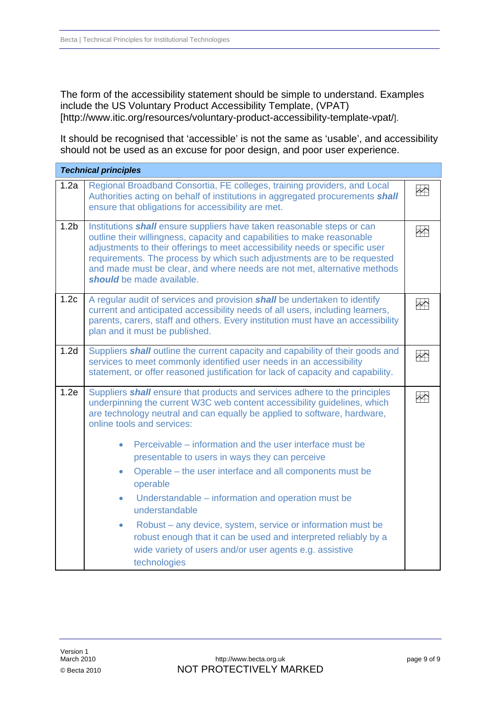The form of the accessibility statement should be simple to understand. Examples include the US Voluntary Product Accessibility Template, (VPAT) [\[http://www.itic.org/resources/voluntary-product-accessibility-template-vpat/](http://www.itic.org/resources/voluntary-product-accessibility-template-vpat/)].

It should be recognised that 'accessible' is not the same as 'usable', and accessibility should not be used as an excuse for poor design, and poor user experience.

|                  | <b>Technical principles</b>                                                                                                                                                                                                                                                                                                                                                                                                                                                                                                                                                                                                                                                                                                                                                |                         |
|------------------|----------------------------------------------------------------------------------------------------------------------------------------------------------------------------------------------------------------------------------------------------------------------------------------------------------------------------------------------------------------------------------------------------------------------------------------------------------------------------------------------------------------------------------------------------------------------------------------------------------------------------------------------------------------------------------------------------------------------------------------------------------------------------|-------------------------|
| 1.2a             | Regional Broadband Consortia, FE colleges, training providers, and Local<br>Authorities acting on behalf of institutions in aggregated procurements shall<br>ensure that obligations for accessibility are met.                                                                                                                                                                                                                                                                                                                                                                                                                                                                                                                                                            | $\rightarrow$           |
| 1.2 <sub>b</sub> | Institutions shall ensure suppliers have taken reasonable steps or can<br>outline their willingness, capacity and capabilities to make reasonable<br>adjustments to their offerings to meet accessibility needs or specific user<br>requirements. The process by which such adjustments are to be requested<br>and made must be clear, and where needs are not met, alternative methods<br>should be made available.                                                                                                                                                                                                                                                                                                                                                       | $\overline{\mathbf{r}}$ |
| 1.2c             | A regular audit of services and provision shall be undertaken to identify<br>current and anticipated accessibility needs of all users, including learners,<br>parents, carers, staff and others. Every institution must have an accessibility<br>plan and it must be published.                                                                                                                                                                                                                                                                                                                                                                                                                                                                                            | $\overline{\mathbb{R}}$ |
| 1.2d             | Suppliers shall outline the current capacity and capability of their goods and<br>services to meet commonly identified user needs in an accessibility<br>statement, or offer reasoned justification for lack of capacity and capability.                                                                                                                                                                                                                                                                                                                                                                                                                                                                                                                                   | $\rightarrow$           |
| 1.2e             | Suppliers shall ensure that products and services adhere to the principles<br>underpinning the current W3C web content accessibility guidelines, which<br>are technology neutral and can equally be applied to software, hardware,<br>online tools and services:<br>Perceivable – information and the user interface must be<br>presentable to users in ways they can perceive<br>Operable – the user interface and all components must be<br>۰<br>operable<br>Understandable – information and operation must be<br>$\bullet$<br>understandable<br>Robust – any device, system, service or information must be<br>$\bullet$<br>robust enough that it can be used and interpreted reliably by a<br>wide variety of users and/or user agents e.g. assistive<br>technologies | $\rightsquigarrow$      |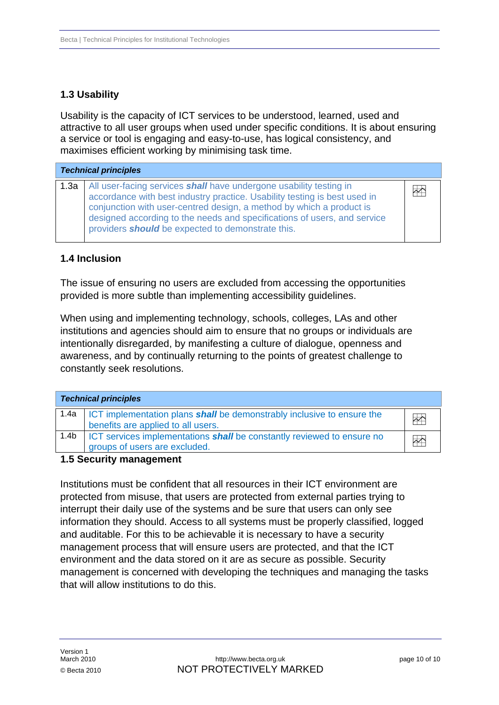# <span id="page-9-0"></span>**1.3 Usability**

Usability is the capacity of ICT services to be understood, learned, used and attractive to all user groups when used under specific conditions. It is about ensuring a service or tool is engaging and easy-to-use, has logical consistency, and maximises efficient working by minimising task time.

| <b>Technical principles</b> |                                                                                                                                                                                                                                                                                                                                                                        |               |
|-----------------------------|------------------------------------------------------------------------------------------------------------------------------------------------------------------------------------------------------------------------------------------------------------------------------------------------------------------------------------------------------------------------|---------------|
| 1.3a                        | All user-facing services <b>shall</b> have undergone usability testing in<br>accordance with best industry practice. Usability testing is best used in<br>conjunction with user-centred design, a method by which a product is<br>designed according to the needs and specifications of users, and service<br>providers <b>should</b> be expected to demonstrate this. | $\rightarrow$ |

### **1.4 Inclusion**

The issue of ensuring no users are excluded from accessing the opportunities provided is more subtle than implementing accessibility guidelines.

When using and implementing technology, schools, colleges, LAs and other institutions and agencies should aim to ensure that no groups or individuals are intentionally disregarded, by manifesting a culture of dialogue, openness and awareness, and by continually returning to the points of greatest challenge to constantly seek resolutions.

| <b>Technical principles</b> |                                                                                                                            |                         |
|-----------------------------|----------------------------------------------------------------------------------------------------------------------------|-------------------------|
| 1.4a                        | <b>ICT</b> implementation plans <b>shall</b> be demonstrably inclusive to ensure the<br>benefits are applied to all users. | $\overline{\mathbb{R}}$ |
| 1.4 <sub>b</sub>            | <b>ICT</b> services implementations <b>shall</b> be constantly reviewed to ensure no<br>groups of users are excluded.      | $\overline{\mathbb{R}}$ |

### **1.5 Security management**

Institutions must be confident that all resources in their ICT environment are information they should. Access to all systems must be properly classified, logged management process that will ensure users are protected, and that the ICT management is concerned with developing the techniques and managing the tasks protected from misuse, that users are protected from external parties trying to interrupt their daily use of the systems and be sure that users can only see and auditable. For this to be achievable it is necessary to have a security environment and the data stored on it are as secure as possible. Security that will allow institutions to do this.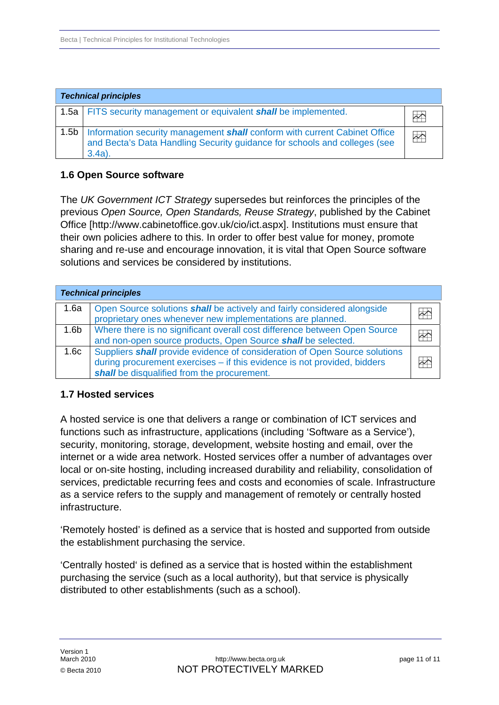<span id="page-10-0"></span>

| <b>Technical principles</b> |                                                                                                                                                                            |                   |
|-----------------------------|----------------------------------------------------------------------------------------------------------------------------------------------------------------------------|-------------------|
|                             | 1.5a   FITS security management or equivalent <b>shall</b> be implemented.                                                                                                 |                   |
|                             | 1.5b   Information security management shall conform with current Cabinet Office<br>and Becta's Data Handling Security guidance for schools and colleges (see<br>$3.4a$ ). | $\leftrightarrow$ |

### **1.6 Open Source software**

The *UK Government ICT Strategy* supersedes but reinforces the principles of the previous *Open Source, Open Standards, Reuse Strategy*, published by the Cabinet Office [\[http://www.cabinetoffice.gov.uk/cio/ict.aspx](http://www.cabinetoffice.gov.uk/cio/ict.aspx)]. Institutions must ensure that their own policies adhere to this. In order to offer best value for money, promote sharing and re-use and encourage innovation, it is vital that Open Source software solutions and services be considered by institutions.

| <b>Technical principles</b> |                                                                                                                                                                                                       |                         |
|-----------------------------|-------------------------------------------------------------------------------------------------------------------------------------------------------------------------------------------------------|-------------------------|
| 1.6a                        | Open Source solutions shall be actively and fairly considered alongside<br>proprietary ones whenever new implementations are planned.                                                                 | ≁∩                      |
| 1.6 <sub>b</sub>            | Where there is no significant overall cost difference between Open Source<br>and non-open source products, Open Source shall be selected.                                                             | ≁^                      |
| 1.6c                        | Suppliers shall provide evidence of consideration of Open Source solutions<br>during procurement exercises - if this evidence is not provided, bidders<br>shall be disqualified from the procurement. | $\overline{\mathbb{M}}$ |

### **1.7 Hosted services**

A hosted service is one that delivers a range or combination of ICT services and functions such as infrastructure, applications (including 'Software as a Service'), security, monitoring, storage, development, website hosting and email, over the internet or a wide area network. Hosted services offer a number of advantages over local or on-site hosting, including increased durability and reliability, consolidation of services, predictable recurring fees and costs and economies of scale. Infrastructure as a service refers to the supply and management of remotely or centrally hosted infrastructure.

'Remotely hosted' is defined as a service that is hosted and supported from outside the establishment purchasing the service.

'Centrally hosted' is defined as a service that is hosted within the establishment purchasing the service (such as a local authority), but that service is physically distributed to other establishments (such as a school).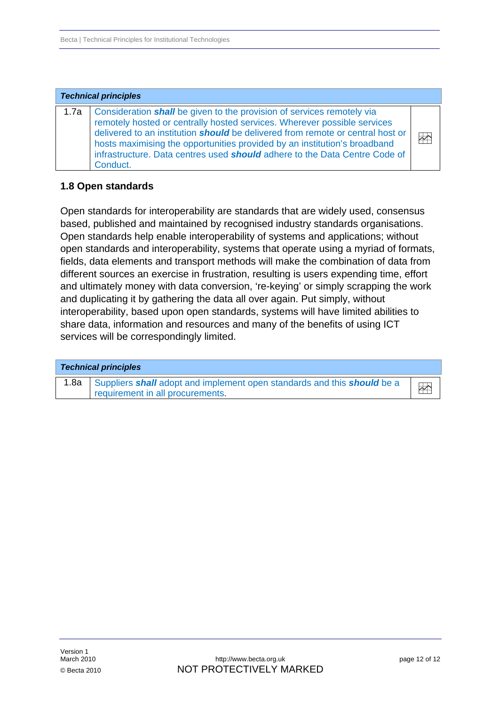<span id="page-11-0"></span>

| <b>Technical principles</b> |                                                                                                                                                                                                                                                                                                                                                                                                                                  |                         |
|-----------------------------|----------------------------------------------------------------------------------------------------------------------------------------------------------------------------------------------------------------------------------------------------------------------------------------------------------------------------------------------------------------------------------------------------------------------------------|-------------------------|
|                             | 1.7a   Consideration <i>shall</i> be given to the provision of services remotely via<br>remotely hosted or centrally hosted services. Wherever possible services<br>delivered to an institution <b>should</b> be delivered from remote or central host or<br>hosts maximising the opportunities provided by an institution's broadband<br>infrastructure. Data centres used should adhere to the Data Centre Code of<br>Conduct. | $\overline{\mathbf{r}}$ |

#### **1.8 Open standards**

Open standards for interoperability are standards that are widely used, consensus based, published and maintained by recognised industry standards organisations. Open standards help enable interoperability of systems and applications; without open standards and interoperability, systems that operate using a myriad of formats, fields, data elements and transport methods will make the combination of data from different sources an exercise in frustration, resulting is users expending time, effort and ultimately money with data conversion, 're-keying' or simply scrapping the work and duplicating it by gathering the data all over again. Put simply, without interoperability, based upon open standards, systems will have limited abilities to share data, information and resources and many of the benefits of using ICT services will be correspondingly limited.

|      | <b>Technical principles</b>                                                                                 |  |
|------|-------------------------------------------------------------------------------------------------------------|--|
| 1.8a | Suppliers shall adopt and implement open standards and this should be a<br>requirement in all procurements. |  |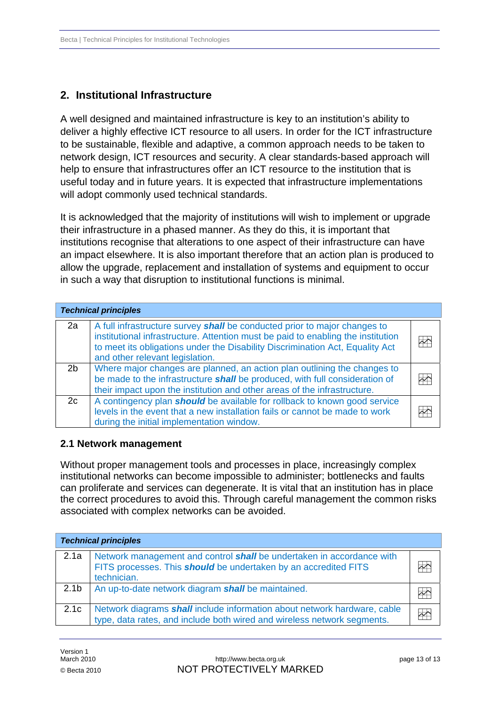# <span id="page-12-0"></span>**2. Institutional Infrastructure**

A well designed and maintained infrastructure is key to an institution's ability to deliver a highly effective ICT resource to all users. In order for the ICT infrastructure to be sustainable, flexible and adaptive, a common approach needs to be taken to network design, ICT resources and security. A clear standards-based approach will help to ensure that infrastructures offer an ICT resource to the institution that is useful today and in future years. It is expected that infrastructure implementations will adopt commonly used technical standards.

It is acknowledged that the majority of institutions will wish to implement or upgrade their infrastructure in a phased manner. As they do this, it is important that institutions recognise that alterations to one aspect of their infrastructure can have an impact elsewhere. It is also important therefore that an action plan is produced to allow the upgrade, replacement and installation of systems and equipment to occur in such a way that disruption to institutional functions is minimal.

|                | <b>Technical principles</b>                                                                                                                                                                                                                                                       |    |
|----------------|-----------------------------------------------------------------------------------------------------------------------------------------------------------------------------------------------------------------------------------------------------------------------------------|----|
| 2a             | A full infrastructure survey shall be conducted prior to major changes to<br>institutional infrastructure. Attention must be paid to enabling the institution<br>to meet its obligations under the Disability Discrimination Act, Equality Act<br>and other relevant legislation. | ÞΥ |
| 2 <sub>b</sub> | Where major changes are planned, an action plan outlining the changes to<br>be made to the infrastructure shall be produced, with full consideration of<br>their impact upon the institution and other areas of the infrastructure.                                               | ≁≏ |
| 2c             | A contingency plan <b>should</b> be available for rollback to known good service<br>levels in the event that a new installation fails or cannot be made to work<br>during the initial implementation window.                                                                      |    |

### **2.1 Network management**

Without proper management tools and processes in place, increasingly complex institutional networks can become impossible to administer; bottlenecks and faults can proliferate and services can degenerate. It is vital that an institution has in place the correct procedures to avoid this. Through careful management the common risks associated with complex networks can be avoided.

| <b>Technical principles</b> |                                                                                                                                                                |  |
|-----------------------------|----------------------------------------------------------------------------------------------------------------------------------------------------------------|--|
| 2.1a                        | Network management and control shall be undertaken in accordance with<br>FITS processes. This <b>should</b> be undertaken by an accredited FITS<br>technician. |  |
| 2.1 <sub>b</sub>            | An up-to-date network diagram <b>shall</b> be maintained.                                                                                                      |  |
| 2.1c                        | Network diagrams <b>shall</b> include information about network hardware, cable<br>type, data rates, and include both wired and wireless network segments.     |  |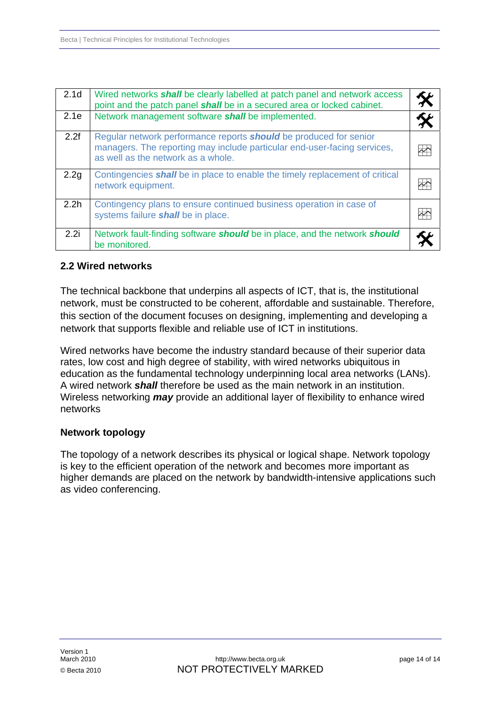<span id="page-13-0"></span>

| 2.1 <sub>d</sub> | Wired networks <i>shall</i> be clearly labelled at patch panel and network access<br>point and the patch panel shall be in a secured area or locked cabinet.                               |               |
|------------------|--------------------------------------------------------------------------------------------------------------------------------------------------------------------------------------------|---------------|
| 2.1e             | Network management software shall be implemented.                                                                                                                                          |               |
| 2.2f             | Regular network performance reports <b>should</b> be produced for senior<br>managers. The reporting may include particular end-user-facing services,<br>as well as the network as a whole. | $\rightarrow$ |
| 2.2g             | Contingencies shall be in place to enable the timely replacement of critical<br>network equipment.                                                                                         |               |
| 2.2 <sub>h</sub> | Contingency plans to ensure continued business operation in case of<br>systems failure shall be in place.                                                                                  |               |
| 2.2i             | Network fault-finding software <b>should</b> be in place, and the network <b>should</b><br>be monitored.                                                                                   |               |

# **2.2 Wired networks**

The technical backbone that underpins all aspects of ICT, that is, the institutional network, must be constructed to be coherent, affordable and sustainable. Therefore, this section of the document focuses on designing, implementing and developing a network that supports flexible and reliable use of ICT in institutions.

Wired networks have become the industry standard because of their superior data rates, low cost and high degree of stability, with wired networks ubiquitous in education as the fundamental technology underpinning local area networks (LANs). A wired network *shall* therefore be used as the main network in an institution. Wireless networking *may* provide an additional layer of flexibility to enhance wired networks

### **Network topology**

The topology of a network describes its physical or logical shape. Network topology is key to the efficient operation of the network and becomes more important as higher demands are placed on the network by bandwidth-intensive applications such as video conferencing.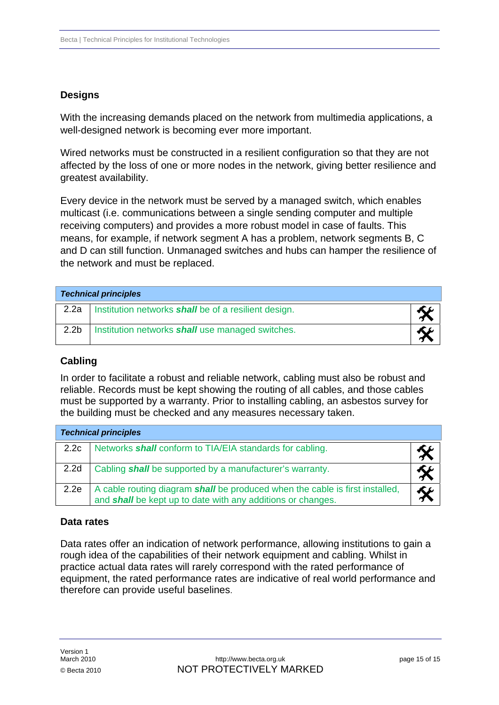# **Designs**

With the increasing demands placed on the network from multimedia applications, a well-designed network is becoming ever more important.

Wired networks must be constructed in a resilient configuration so that they are not affected by the loss of one or more nodes in the network, giving better resilience and greatest availability.

Every device in the network must be served by a managed switch, which enables multicast (i.e. communications between a single sending computer and multiple receiving computers) and provides a more robust model in case of faults. This means, for example, if network segment A has a problem, network segments B, C and D can still function. Unmanaged switches and hubs can hamper the resilience of the network and must be replaced.

| <b>Technical principles</b> |                                                             |  |
|-----------------------------|-------------------------------------------------------------|--|
| 2.2a                        | Institution networks <b>shall</b> be of a resilient design. |  |
| 2.2 <sub>b</sub>            | Institution networks shall use managed switches.            |  |

### **Cabling**

In order to facilitate a robust and reliable network, cabling must also be robust and reliable. Records must be kept showing the routing of all cables, and those cables must be supported by a warranty. Prior to installing cabling, an asbestos survey for the building must be checked and any measures necessary taken.

| <b>Technical principles</b> |                                                                                                                                                    |  |
|-----------------------------|----------------------------------------------------------------------------------------------------------------------------------------------------|--|
| 2.2c                        | Networks <b>shall</b> conform to TIA/EIA standards for cabling.                                                                                    |  |
| 2.2 <sub>d</sub>            | Cabling shall be supported by a manufacturer's warranty.                                                                                           |  |
| 2.2e                        | A cable routing diagram shall be produced when the cable is first installed,<br>and <b>shall</b> be kept up to date with any additions or changes. |  |

#### **Data rates**

Data rates offer an indication of network performance, allowing institutions to gain a rough idea of the capabilities of their network equipment and cabling. Whilst in practice actual data rates will rarely correspond with the rated performance of equipment, the rated performance rates are indicative of real world performance and therefore can provide useful baselines.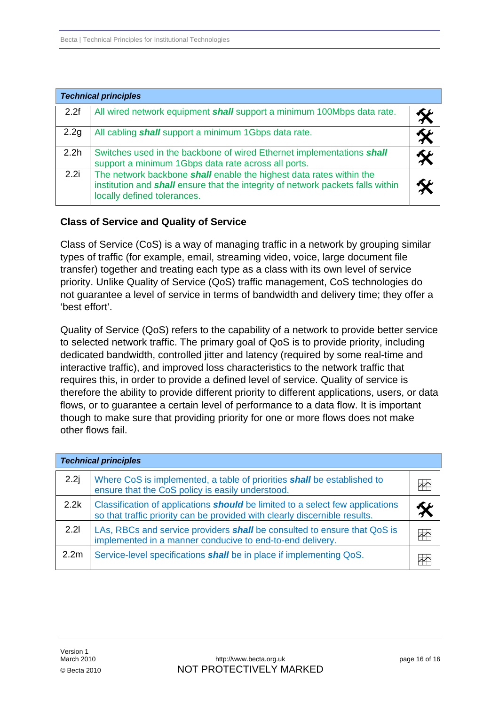|                  | <b>Technical principles</b>                                                                                                                                                                  |  |
|------------------|----------------------------------------------------------------------------------------------------------------------------------------------------------------------------------------------|--|
| 2.2f             | All wired network equipment shall support a minimum 100Mbps data rate.                                                                                                                       |  |
| 2.2g             | All cabling <b>shall</b> support a minimum 1Gbps data rate.                                                                                                                                  |  |
| 2.2 <sub>h</sub> | Switches used in the backbone of wired Ethernet implementations shall<br>support a minimum 1Gbps data rate across all ports.                                                                 |  |
| 2.2i             | The network backbone shall enable the highest data rates within the<br>institution and <b>shall</b> ensure that the integrity of network packets falls within<br>locally defined tolerances. |  |

### **Class of Service and Quality of Service**

Class of Service (CoS) is a way of managing traffic in a network by grouping similar types of traffic (for example, email, streaming video, voice, large document file transfer) together and treating each type as a class with its own level of service priority. Unlike Quality of Service (QoS) traffic management, CoS technologies do not guarantee a level of service in terms of bandwidth and delivery time; they offer a 'best effort'.

Quality of Service (QoS) refers to the capability of a network to provide better service to selected network traffic. The primary goal of QoS is to provide priority, including dedicated bandwidth, controlled jitter and latency (required by some real-time and interactive traffic), and improved loss characteristics to the network traffic that requires this, in order to provide a defined level of service. Quality of service is therefore the ability to provide different priority to different applications, users, or data flows, or to guarantee a certain level of performance to a data flow. It is important though to make sure that providing priority for one or more flows does not make other flows fail.

| <b>Technical principles</b> |                                                                                                                                                                    |   |
|-----------------------------|--------------------------------------------------------------------------------------------------------------------------------------------------------------------|---|
| 2.2j                        | Where CoS is implemented, a table of priorities <b>shall</b> be established to<br>ensure that the CoS policy is easily understood.                                 |   |
| 2.2k                        | Classification of applications <b>should</b> be limited to a select few applications<br>so that traffic priority can be provided with clearly discernible results. |   |
| 2.21                        | LAs, RBCs and service providers shall be consulted to ensure that QoS is<br>implemented in a manner conducive to end-to-end delivery.                              | ⊬ |
| 2.2 <sub>m</sub>            | Service-level specifications <i>shall</i> be in place if implementing QoS.                                                                                         |   |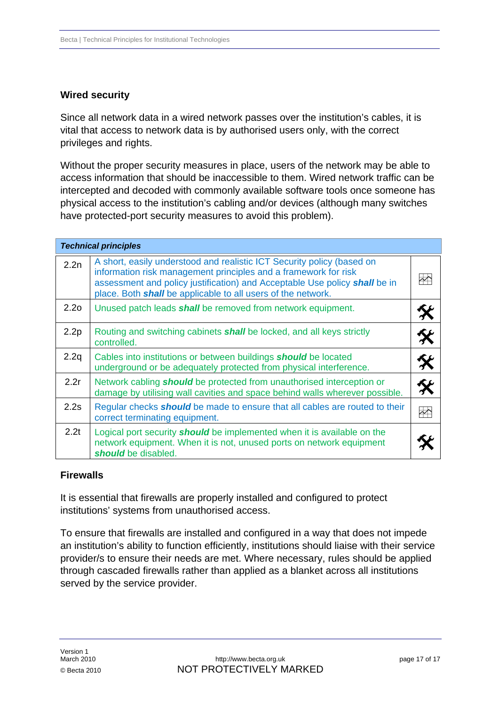# **Wired security**

Since all network data in a wired network passes over the institution's cables, it is vital that access to network data is by authorised users only, with the correct privileges and rights.

Without the proper security measures in place, users of the network may be able to access information that should be inaccessible to them. Wired network traffic can be intercepted and decoded with commonly available software tools once someone has physical access to the institution's cabling and/or devices (although many switches have protected-port security measures to avoid this problem).

|                  | <b>Technical principles</b>                                                                                                                                                                                                                                                             |                        |
|------------------|-----------------------------------------------------------------------------------------------------------------------------------------------------------------------------------------------------------------------------------------------------------------------------------------|------------------------|
| 2.2n             | A short, easily understood and realistic ICT Security policy (based on<br>information risk management principles and a framework for risk<br>assessment and policy justification) and Acceptable Use policy shall be in<br>place. Both shall be applicable to all users of the network. |                        |
| 2.2 <sub>0</sub> | Unused patch leads <b>shall</b> be removed from network equipment.                                                                                                                                                                                                                      |                        |
| 2.2p             | Routing and switching cabinets <b>shall</b> be locked, and all keys strictly<br>controlled.                                                                                                                                                                                             |                        |
| 2.2q             | Cables into institutions or between buildings <b>should</b> be located<br>underground or be adequately protected from physical interference.                                                                                                                                            | X                      |
| 2.2r             | Network cabling <b>should</b> be protected from unauthorised interception or<br>damage by utilising wall cavities and space behind walls wherever possible.                                                                                                                             | $\hat{\boldsymbol{x}}$ |
| 2.2s             | Regular checks <b>should</b> be made to ensure that all cables are routed to their<br>correct terminating equipment.                                                                                                                                                                    | $\Rightarrow$          |
| 2.2t             | Logical port security <b>should</b> be implemented when it is available on the<br>network equipment. When it is not, unused ports on network equipment<br>should be disabled.                                                                                                           |                        |

# **Firewalls**

It is essential that firewalls are properly installed and configured to protect institutions' systems from unauthorised access.

To ensure that firewalls are installed and configured in a way that does not impede an institution's ability to function efficiently, institutions should liaise with their service provider/s to ensure their needs are met. Where necessary, rules should be applied through cascaded firewalls rather than applied as a blanket across all institutions served by the service provider.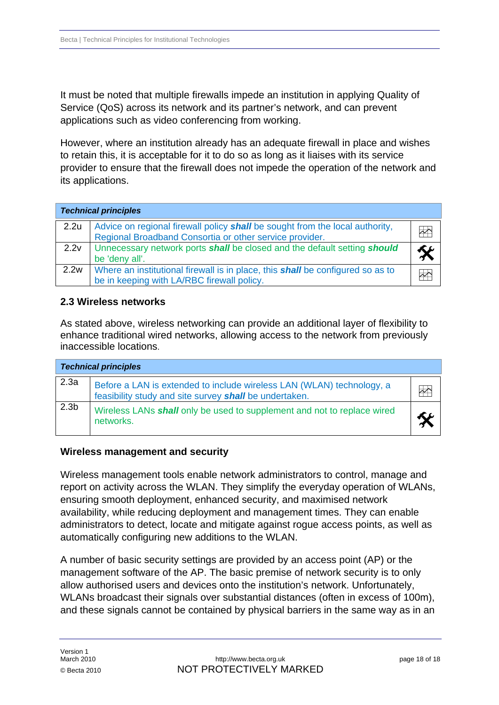<span id="page-17-0"></span>It must be noted that multiple firewalls impede an institution in applying Quality of Service (QoS) across its network and its partner's network, and can prevent applications such as video conferencing from working.

However, where an institution already has an adequate firewall in place and wishes to retain this, it is acceptable for it to do so as long as it liaises with its service provider to ensure that the firewall does not impede the operation of the network and its applications.

| <b>Technical principles</b> |                                                                                                                                         |  |
|-----------------------------|-----------------------------------------------------------------------------------------------------------------------------------------|--|
| 2.2u                        | Advice on regional firewall policy shall be sought from the local authority,<br>Regional Broadband Consortia or other service provider. |  |
| 2.2v                        | Unnecessary network ports shall be closed and the default setting should<br>be 'deny all'.                                              |  |
| 2.2w                        | Where an institutional firewall is in place, this <b>shall</b> be configured so as to<br>be in keeping with LA/RBC firewall policy.     |  |

# **2.3 Wireless networks**

As stated above, wireless networking can provide an additional layer of flexibility to enhance traditional wired networks, allowing access to the network from previously inaccessible locations.

|                  | <b>Technical principles</b>                                                                                                            |  |
|------------------|----------------------------------------------------------------------------------------------------------------------------------------|--|
| 2.3a             | Before a LAN is extended to include wireless LAN (WLAN) technology, a<br>feasibility study and site survey <b>shall</b> be undertaken. |  |
| 2.3 <sub>b</sub> | Wireless LANs shall only be used to supplement and not to replace wired<br>networks.                                                   |  |

### **Wireless management and security**

Wireless management tools enable network administrators to control, manage and report on activity across the WLAN. They simplify the everyday operation of WLANs, ensuring smooth deployment, enhanced security, and maximised network availability, while reducing deployment and management times. They can enable administrators to detect, locate and mitigate against rogue access points, as well as automatically configuring new additions to the WLAN.

A number of basic security settings are provided by an access point (AP) or the management software of the AP. The basic premise of network security is to only allow authorised users and devices onto the institution's network. Unfortunately, WLANs broadcast their signals over substantial distances (often in excess of 100m), and these signals cannot be contained by physical barriers in the same way as in an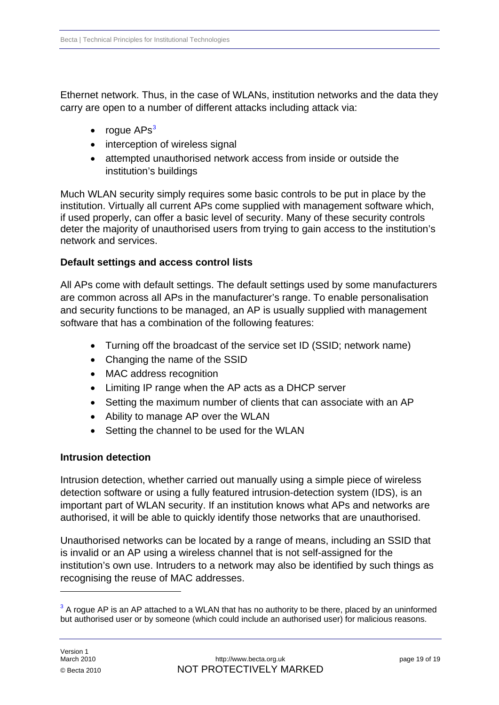Ethernet network. Thus, in the case of WLANs, institution networks and the data they carry are open to a number of different attacks including attack via:

- $\bullet$  roque APs<sup>[3](#page-18-0)</sup>
- interception of wireless signal
- attempted unauthorised network access from inside or outside the institution's buildings

Much WLAN security simply requires some basic controls to be put in place by the institution. Virtually all current APs come supplied with management software which, if used properly, can offer a basic level of security. Many of these security controls deter the majority of unauthorised users from trying to gain access to the institution's network and services.

# **Default settings and access control lists**

All APs come with default settings. The default settings used by some manufacturers are common across all APs in the manufacturer's range. To enable personalisation and security functions to be managed, an AP is usually supplied with management software that has a combination of the following features:

- Turning off the broadcast of the service set ID (SSID; network name)
- Changing the name of the SSID
- MAC address recognition
- Limiting IP range when the AP acts as a DHCP server
- Setting the maximum number of clients that can associate with an AP
- Ability to manage AP over the WLAN
- Setting the channel to be used for the WLAN

# **Intrusion detection**

Intrusion detection, whether carried out manually using a simple piece of wireless detection software or using a fully featured intrusion-detection system (IDS), is an important part of WLAN security. If an institution knows what APs and networks are authorised, it will be able to quickly identify those networks that are unauthorised.

Unauthorised networks can be located by a range of means, including an SSID that is invalid or an AP using a wireless channel that is not self-assigned for the institution's own use. Intruders to a network may also be identified by such things as recognising the reuse of MAC addresses.

1

<span id="page-18-0"></span> $3$  A rogue AP is an AP attached to a WLAN that has no authority to be there, placed by an uninformed but authorised user or by someone (which could include an authorised user) for malicious reasons.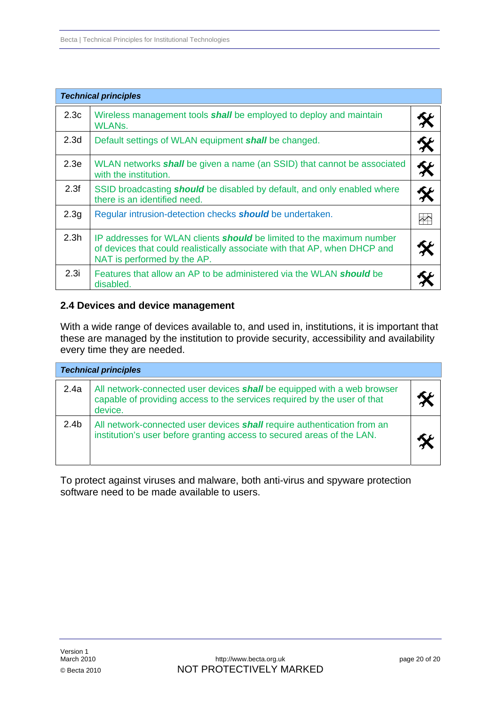<span id="page-19-0"></span>

|                  | <b>Technical principles</b>                                                                                                                                                              |  |
|------------------|------------------------------------------------------------------------------------------------------------------------------------------------------------------------------------------|--|
| 2.3c             | Wireless management tools <b>shall</b> be employed to deploy and maintain<br>WLANs.                                                                                                      |  |
| 2.3 <sub>d</sub> | Default settings of WLAN equipment shall be changed.                                                                                                                                     |  |
| 2.3 <sub>e</sub> | WLAN networks <i>shall</i> be given a name (an SSID) that cannot be associated<br>with the institution.                                                                                  |  |
| 2.3f             | SSID broadcasting <b>should</b> be disabled by default, and only enabled where<br>there is an identified need.                                                                           |  |
| 2.3 <sub>g</sub> | Regular intrusion-detection checks <b>should</b> be undertaken.                                                                                                                          |  |
| 2.3 <sub>h</sub> | IP addresses for WLAN clients <b>should</b> be limited to the maximum number<br>of devices that could realistically associate with that AP, when DHCP and<br>NAT is performed by the AP. |  |
| 2.3i             | Features that allow an AP to be administered via the WLAN <b>should</b> be<br>disabled.                                                                                                  |  |

#### **2.4 Devices and device management**

With a wide range of devices available to, and used in, institutions, it is important that these are managed by the institution to provide security, accessibility and availability every time they are needed.

| <b>Technical principles</b> |                                                                                                                                                                       |  |
|-----------------------------|-----------------------------------------------------------------------------------------------------------------------------------------------------------------------|--|
| 2.4a                        | All network-connected user devices <b>shall</b> be equipped with a web browser<br>capable of providing access to the services required by the user of that<br>device. |  |
| 2.4 <sub>b</sub>            | All network-connected user devices <b>shall</b> require authentication from an<br>institution's user before granting access to secured areas of the LAN.              |  |

To protect against viruses and malware, both anti-virus and spyware protection software need to be made available to users.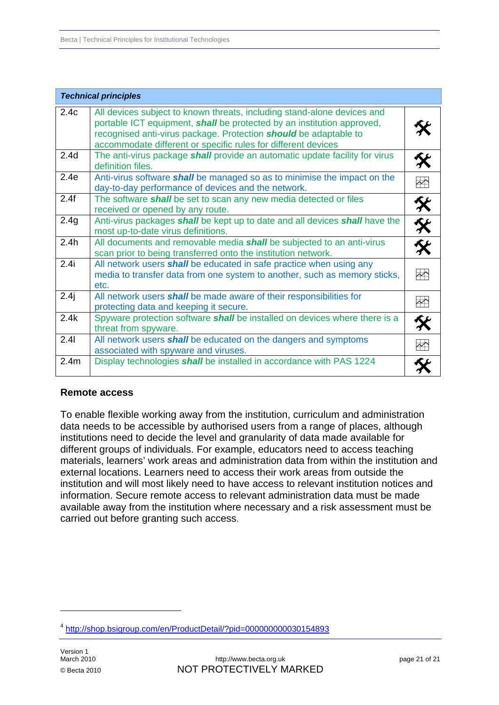|                  | <b>Technical principles</b>                                                                                                                                                                                                                                                            |                   |
|------------------|----------------------------------------------------------------------------------------------------------------------------------------------------------------------------------------------------------------------------------------------------------------------------------------|-------------------|
| 2.4c             | All devices subject to known threats, including stand-alone devices and<br>portable ICT equipment, shall be protected by an institution approved,<br>recognised anti-virus package. Protection should be adaptable to<br>accommodate different or specific rules for different devices |                   |
| 2.4 <sub>d</sub> | The anti-virus package <b>shall</b> provide an automatic update facility for virus<br>definition files.                                                                                                                                                                                | 交                 |
| 2.4e             | Anti-virus software <b>shall</b> be managed so as to minimise the impact on the<br>day-to-day performance of devices and the network.                                                                                                                                                  | $\rightarrow$     |
| 2.4f             | The software <b>shall</b> be set to scan any new media detected or files<br>received or opened by any route.                                                                                                                                                                           | 父                 |
| 2.4g             | Anti-virus packages shall be kept up to date and all devices shall have the<br>most up-to-date virus definitions.                                                                                                                                                                      | 父父                |
| 2.4h             | All documents and removable media <b>shall</b> be subjected to an anti-virus<br>scan prior to being transferred onto the institution network.                                                                                                                                          |                   |
| 2.4i             | All network users <b>shall</b> be educated in safe practice when using any<br>media to transfer data from one system to another, such as memory sticks,<br>etc.                                                                                                                        | $\sim$            |
| 2.4j             | All network users shall be made aware of their responsibilities for<br>protecting data and keeping it secure.                                                                                                                                                                          | $\leftrightarrow$ |
| 2.4k             | Spyware protection software shall be installed on devices where there is a<br>threat from spyware.                                                                                                                                                                                     |                   |
| 2.41             | All network users shall be educated on the dangers and symptoms<br>associated with spyware and viruses.                                                                                                                                                                                | $\overline{\sim}$ |
| 2.4m             | Display technologies shall be installed in accordance with PAS 1224                                                                                                                                                                                                                    |                   |

### **Remote access**

To enable flexible working away from the institution, curriculum and administration data needs to be accessible by authorised users from a range of places, although institutions need to decide the level and granularity of data made available for different groups of individuals. For example, educators need to access teaching materials, learners' work areas and administration data from within the institution and external locations. Learners need to access their work areas from outside the institution and will most likely need to have access to relevant institution notices and information. Secure remote access to relevant administration data must be made available away from the institution where necessary and a risk assessment must be carried out before granting such access.

1

<span id="page-20-0"></span><sup>4</sup> <http://shop.bsigroup.com/en/ProductDetail/?pid=000000000030154893>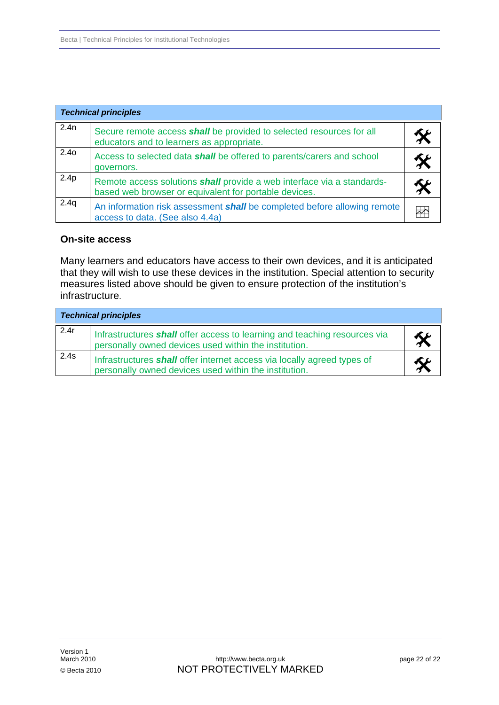| <b>Technical principles</b> |                                                                                                                                 |  |
|-----------------------------|---------------------------------------------------------------------------------------------------------------------------------|--|
| 2.4n                        | Secure remote access shall be provided to selected resources for all<br>educators and to learners as appropriate.               |  |
| 2.4 <sub>0</sub>            | Access to selected data shall be offered to parents/carers and school<br>governors.                                             |  |
| 2.4p                        | Remote access solutions shall provide a web interface via a standards-<br>based web browser or equivalent for portable devices. |  |
| 2.4q                        | An information risk assessment <i>shall</i> be completed before allowing remote<br>access to data. (See also 4.4a)              |  |

#### **On-site access**

Many learners and educators have access to their own devices, and it is anticipated that they will wish to use these devices in the institution. Special attention to security measures listed above should be given to ensure protection of the institution's infrastructure.

| <b>Technical principles</b> |                                                                                                                                    |  |
|-----------------------------|------------------------------------------------------------------------------------------------------------------------------------|--|
| 2.4r                        | Infrastructures shall offer access to learning and teaching resources via<br>personally owned devices used within the institution. |  |
| 2.4s                        | Infrastructures shall offer internet access via locally agreed types of<br>personally owned devices used within the institution.   |  |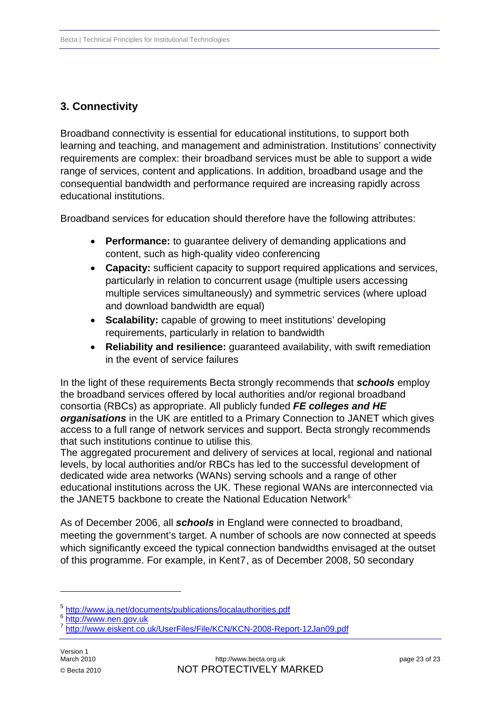# <span id="page-22-0"></span>**3. Connectivity**

Broadband connectivity is essential for educational institutions, to support both learning and teaching, and management and administration. Institutions' connectivity requirements are complex: their broadband services must be able to support a wide range of services, content and applications. In addition, broadband usage and the consequential bandwidth and performance required are increasing rapidly across educational institutions.

Broadband services for education should therefore have the following attributes:

- **Performance:** to guarantee delivery of demanding applications and content, such as high-quality video conferencing
- **Capacity:** sufficient capacity to support required applications and services, particularly in relation to concurrent usage (multiple users accessing multiple services simultaneously) and symmetric services (where upload and download bandwidth are equal)
- **Scalability:** capable of growing to meet institutions' developing requirements, particularly in relation to bandwidth
- **Reliability and resilience:** guaranteed availability, with swift remediation in the event of service failures

In the light of these requirements Becta strongly recommends that *schools* employ the broadband services offered by local authorities and/or regional broadband consortia (RBCs) as appropriate. All publicly funded *FE colleges and HE organisations* in the UK are entitled to a Primary Connection to JANET which gives access to a full range of network services and support. Becta strongly recommends that such institutions continue to utilise this.

The aggregated procurement and delivery of services at local, regional and national levels, by local authorities and/or RBCs has led to the successful development of dedicated wide area networks (WANs) serving schools and a range of other educational institutions across the UK. These regional WANs are interconnected via the JANET[5](#page-22-1) backbone to create the National Education Network<sup>[6](#page-22-2).</sup>

As of December 2006, all *schools* in England were connected to broadband, meeting the government's target. A number of schools are now connected at speeds which significantly exceed the typical connection bandwidths envisaged at the outset of this programme. For example, in Kent[7](#page-22-3), as of December 2008, 50 secondary

1

<span id="page-22-1"></span> $^5$  <http://www.ja.net/documents/publications/localauthorities.pdf>  $^6$  [http://www.nen.gov.uk](http://www.nen.gov.uk/)

<span id="page-22-2"></span>

<span id="page-22-3"></span><sup>7</sup> <http://www.eiskent.co.uk/UserFiles/File/KCN/KCN-2008-Report-12Jan09.pdf>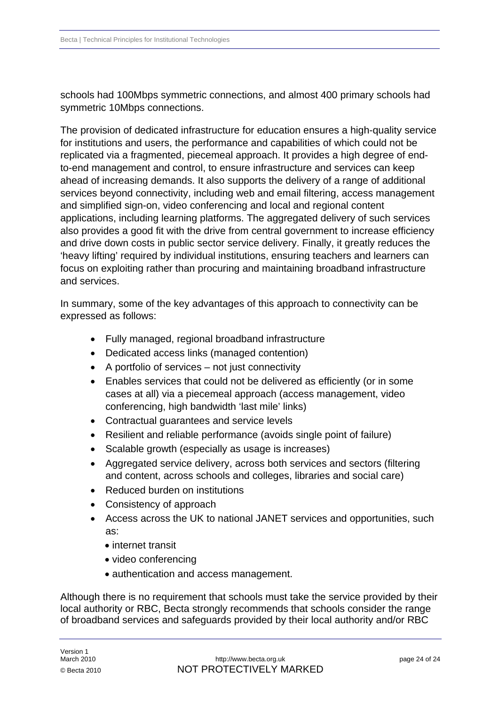schools had 100Mbps symmetric connections, and almost 400 primary schools had symmetric 10Mbps connections.

The provision of dedicated infrastructure for education ensures a high-quality service for institutions and users, the performance and capabilities of which could not be replicated via a fragmented, piecemeal approach. It provides a high degree of endto-end management and control, to ensure infrastructure and services can keep ahead of increasing demands. It also supports the delivery of a range of additional services beyond connectivity, including web and email filtering, access management and simplified sign-on, video conferencing and local and regional content applications, including learning platforms. The aggregated delivery of such services also provides a good fit with the drive from central government to increase efficiency and drive down costs in public sector service delivery. Finally, it greatly reduces the 'heavy lifting' required by individual institutions, ensuring teachers and learners can focus on exploiting rather than procuring and maintaining broadband infrastructure and services.

In summary, some of the key advantages of this approach to connectivity can be expressed as follows:

- Fully managed, regional broadband infrastructure
- Dedicated access links (managed contention)
- A portfolio of services not just connectivity
- Enables services that could not be delivered as efficiently (or in some cases at all) via a piecemeal approach (access management, video conferencing, high bandwidth 'last mile' links)
- Contractual guarantees and service levels
- Resilient and reliable performance (avoids single point of failure)
- Scalable growth (especially as usage is increases)
- Aggregated service delivery, across both services and sectors (filtering and content, across schools and colleges, libraries and social care)
- Reduced burden on institutions
- Consistency of approach
- Access across the UK to national JANET services and opportunities, such as:
	- internet transit
	- video conferencing
	- authentication and access management.

Although there is no requirement that schools must take the service provided by their local authority or RBC, Becta strongly recommends that schools consider the range of broadband services and safeguards provided by their local authority and/or RBC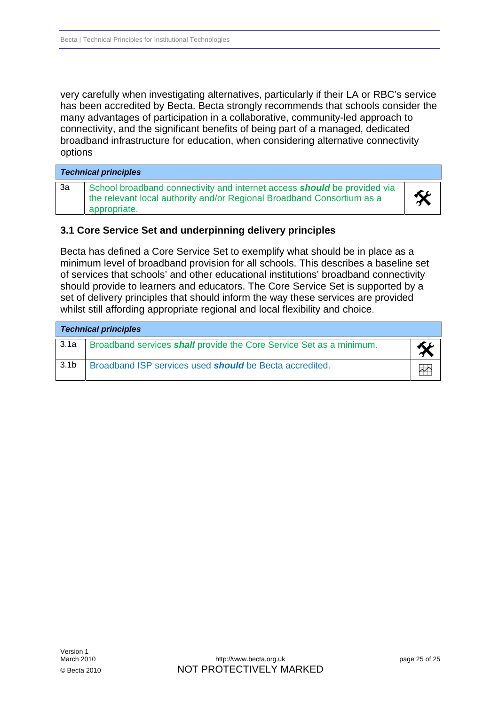<span id="page-24-0"></span>very carefully when investigating alternatives, particularly if their LA or RBC's service has been accredited by Becta. Becta strongly recommends that schools consider the many advantages of participation in a collaborative, community-led approach to connectivity, and the significant benefits of being part of a managed, dedicated broadband infrastructure for education, when considering alternative connectivity options

| <b>Technical principles</b> |                                                                                                                                                                           |   |
|-----------------------------|---------------------------------------------------------------------------------------------------------------------------------------------------------------------------|---|
| За                          | School broadband connectivity and internet access <b>should</b> be provided via<br>the relevant local authority and/or Regional Broadband Consortium as a<br>appropriate. | 父 |

### **3.1 Core Service Set and underpinning delivery principles**

Becta has defined a Core Service Set to exemplify what should be in place as a minimum level of broadband provision for all schools. This describes a baseline set of services that schools' and other educational institutions' broadband connectivity should provide to learners and educators. The Core Service Set is supported by a set of delivery principles that should inform the way these services are provided whilst still affording appropriate regional and local flexibility and choice.

| <b>Technical principles</b> |                                                                            |  |
|-----------------------------|----------------------------------------------------------------------------|--|
| 3.1a                        | Broadband services <b>shall</b> provide the Core Service Set as a minimum. |  |
| 3.1 <sub>b</sub>            | Broadband ISP services used <b>should</b> be Becta accredited.             |  |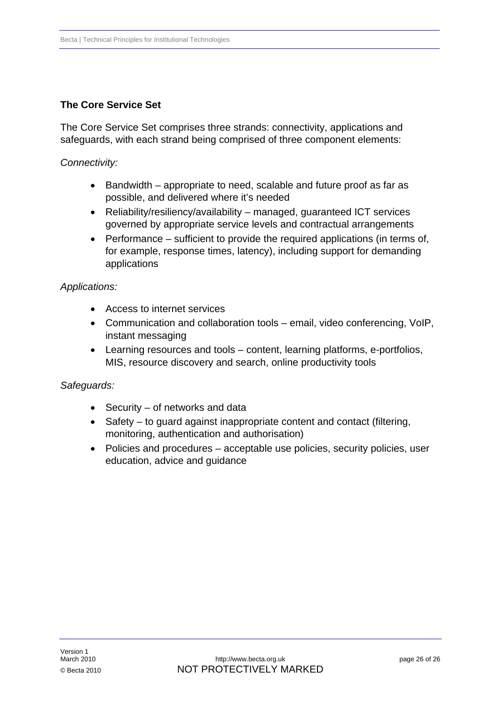# **The Core Service Set**

The Core Service Set comprises three strands: connectivity, applications and safeguards, with each strand being comprised of three component elements:

# *Connectivity:*

- Bandwidth appropriate to need, scalable and future proof as far as possible, and delivered where it's needed
- Reliability/resiliency/availability managed, guaranteed ICT services governed by appropriate service levels and contractual arrangements
- Performance sufficient to provide the required applications (in terms of, for example, response times, latency), including support for demanding applications

# *Applications:*

- Access to internet services
- Communication and collaboration tools email, video conferencing, VoIP, instant messaging
- Learning resources and tools content, learning platforms, e-portfolios, MIS, resource discovery and search, online productivity tools

### *Safeguards:*

- Security of networks and data
- Safety to guard against inappropriate content and contact (filtering, monitoring, authentication and authorisation)
- Policies and procedures acceptable use policies, security policies, user education, advice and guidance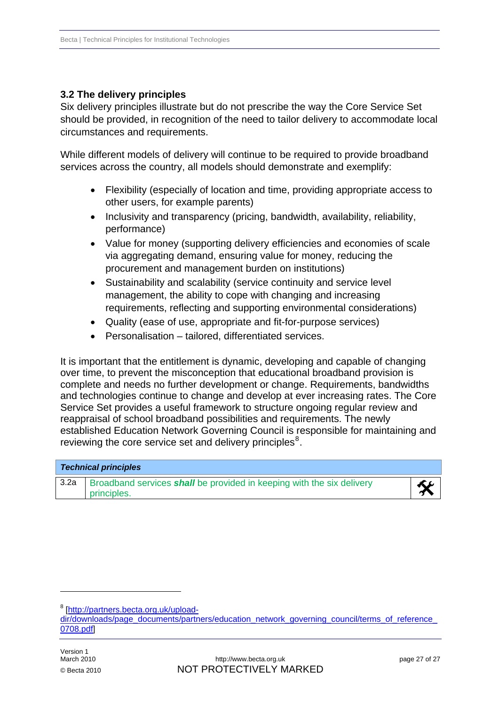# <span id="page-26-0"></span>**3.2 The delivery principles**

Six delivery principles illustrate but do not prescribe the way the Core Service Set should be provided, in recognition of the need to tailor delivery to accommodate local circumstances and requirements.

While different models of delivery will continue to be required to provide broadband services across the country, all models should demonstrate and exemplify:

- Flexibility (especially of location and time, providing appropriate access to other users, for example parents)
- Inclusivity and transparency (pricing, bandwidth, availability, reliability, performance)
- Value for money (supporting delivery efficiencies and economies of scale via aggregating demand, ensuring value for money, reducing the procurement and management burden on institutions)
- Sustainability and scalability (service continuity and service level management, the ability to cope with changing and increasing requirements, reflecting and supporting environmental considerations)
- Quality (ease of use, appropriate and fit-for-purpose services)
- Personalisation tailored, differentiated services.

It is important that the entitlement is dynamic, developing and capable of changing over time, to prevent the misconception that educational broadband provision is complete and needs no further development or change. Requirements, bandwidths and technologies continue to change and develop at ever increasing rates. The Core Service Set provides a useful framework to structure ongoing regular review and reappraisal of school broadband possibilities and requirements. The newly established Education Network Governing Council is responsible for maintaining and reviewing the core service set and delivery principles $8$ .

| <b>Technical principles</b> |                                                                                             |  |
|-----------------------------|---------------------------------------------------------------------------------------------|--|
| 3.2a                        | Broadband services <b>shall</b> be provided in keeping with the six delivery<br>principles. |  |

1

<span id="page-26-1"></span><sup>&</sup>lt;sup>8</sup> [\[http://partners.becta.org.uk/upload-](http://partners.becta.org.uk/upload-dir/downloads/page_documents/partners/education_network_governing_council/terms_of_reference_0708.pdf)

[dir/downloads/page\\_documents/partners/education\\_network\\_governing\\_council/terms\\_of\\_reference\\_](http://partners.becta.org.uk/upload-dir/downloads/page_documents/partners/education_network_governing_council/terms_of_reference_0708.pdf) [0708.pdf](http://partners.becta.org.uk/upload-dir/downloads/page_documents/partners/education_network_governing_council/terms_of_reference_0708.pdf)]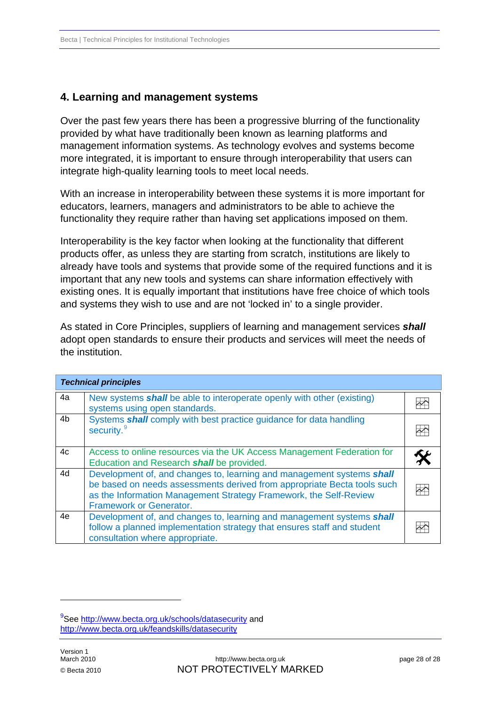# <span id="page-27-0"></span>**4. Learning and management systems**

Over the past few years there has been a progressive blurring of the functionality provided by what have traditionally been known as learning platforms and management information systems. As technology evolves and systems become more integrated, it is important to ensure through interoperability that users can integrate high-quality learning tools to meet local needs.

With an increase in interoperability between these systems it is more important for educators, learners, managers and administrators to be able to achieve the functionality they require rather than having set applications imposed on them.

Interoperability is the key factor when looking at the functionality that different products offer, as unless they are starting from scratch, institutions are likely to already have tools and systems that provide some of the required functions and it is important that any new tools and systems can share information effectively with existing ones. It is equally important that institutions have free choice of which tools and systems they wish to use and are not 'locked in' to a single provider.

As stated in Core Principles, suppliers of learning and management services *shall* adopt open standards to ensure their products and services will meet the needs of the institution.

|    | <b>Technical principles</b>                                                                                                                                                                                                                             |  |
|----|---------------------------------------------------------------------------------------------------------------------------------------------------------------------------------------------------------------------------------------------------------|--|
| 4a | New systems <b>shall</b> be able to interoperate openly with other (existing)<br>systems using open standards.                                                                                                                                          |  |
| 4b | Systems shall comply with best practice guidance for data handling<br>security. <sup>9</sup>                                                                                                                                                            |  |
| 4c | Access to online resources via the UK Access Management Federation for<br>Education and Research shall be provided.                                                                                                                                     |  |
| 4d | Development of, and changes to, learning and management systems shall<br>be based on needs assessments derived from appropriate Becta tools such<br>as the Information Management Strategy Framework, the Self-Review<br><b>Framework or Generator.</b> |  |
| 4e | Development of, and changes to, learning and management systems shall<br>follow a planned implementation strategy that ensures staff and student<br>consultation where appropriate.                                                                     |  |

1

<span id="page-27-1"></span><sup>&</sup>lt;sup>9</sup>See <http://www.becta.org.uk/schools/datasecurity>and <http://www.becta.org.uk/feandskills/datasecurity>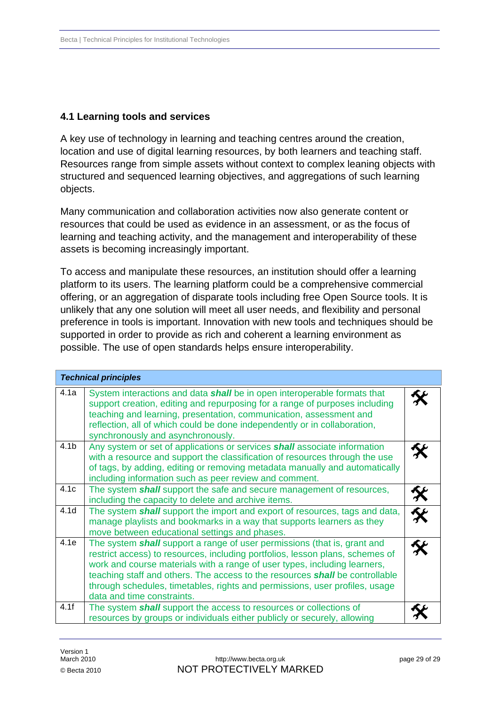# <span id="page-28-0"></span>**4.1 Learning tools and services**

A key use of technology in learning and teaching centres around the creation, location and use of digital learning resources, by both learners and teaching staff. Resources range from simple assets without context to complex leaning objects with structured and sequenced learning objectives, and aggregations of such learning objects.

Many communication and collaboration activities now also generate content or resources that could be used as evidence in an assessment, or as the focus of learning and teaching activity, and the management and interoperability of these assets is becoming increasingly important.

To access and manipulate these resources, an institution should offer a learning platform to its users. The learning platform could be a comprehensive commercial offering, or an aggregation of disparate tools including free Open Source tools. It is unlikely that any one solution will meet all user needs, and flexibility and personal preference in tools is important. Innovation with new tools and techniques should be supported in order to provide as rich and coherent a learning environment as possible. The use of open standards helps ensure interoperability.

|                  | <b>Technical principles</b>                                                                                                                                                                                                                                                                                                                                                                                                                       |                         |
|------------------|---------------------------------------------------------------------------------------------------------------------------------------------------------------------------------------------------------------------------------------------------------------------------------------------------------------------------------------------------------------------------------------------------------------------------------------------------|-------------------------|
| 4.1a             | System interactions and data shall be in open interoperable formats that<br>support creation, editing and repurposing for a range of purposes including<br>teaching and learning, presentation, communication, assessment and<br>reflection, all of which could be done independently or in collaboration,<br>synchronously and asynchronously.                                                                                                   |                         |
| 4.1 <sub>b</sub> | Any system or set of applications or services shall associate information<br>with a resource and support the classification of resources through the use<br>of tags, by adding, editing or removing metadata manually and automatically<br>including information such as peer review and comment.                                                                                                                                                 |                         |
| 4.1c             | The system <b>shall</b> support the safe and secure management of resources,<br>including the capacity to delete and archive items.                                                                                                                                                                                                                                                                                                               |                         |
| 4.1 <sub>d</sub> | The system <b>shall</b> support the import and export of resources, tags and data,<br>manage playlists and bookmarks in a way that supports learners as they<br>move between educational settings and phases.                                                                                                                                                                                                                                     | $\overline{\mathbf{w}}$ |
| 4.1e             | The system <b>shall</b> support a range of user permissions (that is, grant and<br>restrict access) to resources, including portfolios, lesson plans, schemes of<br>work and course materials with a range of user types, including learners,<br>teaching staff and others. The access to the resources <i>shall</i> be controllable<br>through schedules, timetables, rights and permissions, user profiles, usage<br>data and time constraints. |                         |
| 4.1f             | The system <b>shall</b> support the access to resources or collections of<br>resources by groups or individuals either publicly or securely, allowing                                                                                                                                                                                                                                                                                             |                         |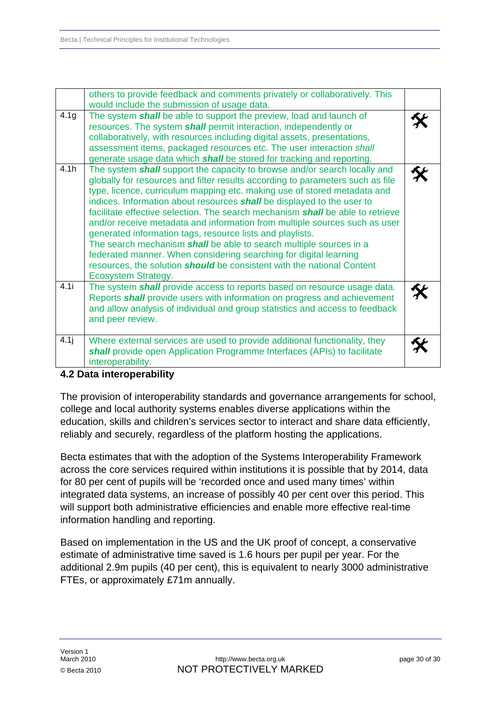<span id="page-29-0"></span>

|                  | others to provide feedback and comments privately or collaboratively. This<br>would include the submission of usage data.                                                                                                                                                                                                                                                                                                                                                                                                                                                                                                                                                                                                                                                                         |  |
|------------------|---------------------------------------------------------------------------------------------------------------------------------------------------------------------------------------------------------------------------------------------------------------------------------------------------------------------------------------------------------------------------------------------------------------------------------------------------------------------------------------------------------------------------------------------------------------------------------------------------------------------------------------------------------------------------------------------------------------------------------------------------------------------------------------------------|--|
| 4.1 <sub>g</sub> | The system shall be able to support the preview, load and launch of<br>resources. The system shall permit interaction, independently or<br>collaboratively, with resources including digital assets, presentations,<br>assessment items, packaged resources etc. The user interaction shall<br>generate usage data which shall be stored for tracking and reporting.                                                                                                                                                                                                                                                                                                                                                                                                                              |  |
| 4.1h             | The system shall support the capacity to browse and/or search locally and<br>globally for resources and filter results according to parameters such as file<br>type, licence, curriculum mapping etc. making use of stored metadata and<br>indices. Information about resources shall be displayed to the user to<br>facilitate effective selection. The search mechanism <b>shall</b> be able to retrieve<br>and/or receive metadata and information from multiple sources such as user<br>generated information tags, resource lists and playlists.<br>The search mechanism shall be able to search multiple sources in a<br>federated manner. When considering searching for digital learning<br>resources, the solution should be consistent with the national Content<br>Ecosystem Strategy. |  |
| 4.1i             | The system shall provide access to reports based on resource usage data.<br>Reports shall provide users with information on progress and achievement<br>and allow analysis of individual and group statistics and access to feedback<br>and peer review.                                                                                                                                                                                                                                                                                                                                                                                                                                                                                                                                          |  |
| 4.1j             | Where external services are used to provide additional functionality, they<br>shall provide open Application Programme Interfaces (APIs) to facilitate<br>interoperability.                                                                                                                                                                                                                                                                                                                                                                                                                                                                                                                                                                                                                       |  |

# **4.2 Data interoperability**

The provision of interoperability standards and governance arrangements for school, education, skills and children's services sector to interact and share data efficiently, college and local authority systems enables diverse applications within the reliably and securely, regardless of the platform hosting the applications.

Becta estimates that with the adoption of the Systems Interoperability Framework integrated data systems, an increase of possibly 40 per cent over this period. This across the core services required within institutions it is possible that by 2014, data for 80 per cent of pupils will be 'recorded once and used many times' within will support both administrative efficiencies and enable more effective real-time information handling and reporting.

Based on implementation in the US and the UK proof of concept, a conservative additional 2.9m pupils (40 per cent), this is equivalent to nearly 3000 administrative estimate of administrative time saved is 1.6 hours per pupil per year. For the FTEs, or approximately £71m annually.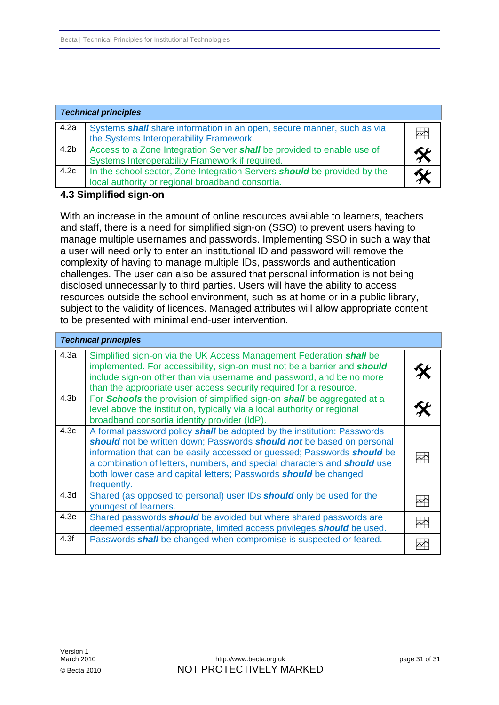<span id="page-30-0"></span>

|                  | <b>Technical principles</b>                                                                                                         |                   |
|------------------|-------------------------------------------------------------------------------------------------------------------------------------|-------------------|
| 4.2a             | Systems shall share information in an open, secure manner, such as via<br>the Systems Interoperability Framework.                   | $\overline{\sim}$ |
| 4.2 <sub>b</sub> | Access to a Zone Integration Server shall be provided to enable use of<br>Systems Interoperability Framework if required.           |                   |
| 4.2c             | In the school sector, Zone Integration Servers <b>should</b> be provided by the<br>local authority or regional broadband consortia. |                   |

#### **4.3 Simplified sign-on**

With an increase in the amount of online resources available to learners, teachers manage multiple usernames and passwords. Implementing SSO in such a way that challenges. The user can also be assured that personal information is not being resources outside the school environment, such as at home or in a public library, subject to the validity of licences. Managed attributes will allow appropriate content and staff, there is a need for simplified sign-on (SSO) to prevent users having to a user will need only to enter an institutional ID and password will remove the complexity of having to manage multiple IDs, passwords and authentication disclosed unnecessarily to third parties. Users will have the ability to access to be presented with minimal end-user intervention.

|                  | <b>Technical principles</b>                                                                                                                                                                                                                                                                                                                                                                       |                         |
|------------------|---------------------------------------------------------------------------------------------------------------------------------------------------------------------------------------------------------------------------------------------------------------------------------------------------------------------------------------------------------------------------------------------------|-------------------------|
| 4.3a             | Simplified sign-on via the UK Access Management Federation shall be<br>implemented. For accessibility, sign-on must not be a barrier and <b>should</b><br>include sign-on other than via username and password, and be no more<br>than the appropriate user access security required for a resource.                                                                                              |                         |
| 4.3 <sub>b</sub> | For Schools the provision of simplified sign-on shall be aggregated at a<br>level above the institution, typically via a local authority or regional<br>broadband consortia identity provider (IdP).                                                                                                                                                                                              |                         |
| 4.3c             | A formal password policy shall be adopted by the institution: Passwords<br>should not be written down; Passwords should not be based on personal<br>information that can be easily accessed or guessed; Passwords should be<br>a combination of letters, numbers, and special characters and <b>should</b> use<br>both lower case and capital letters; Passwords should be changed<br>frequently. |                         |
| 4.3 <sub>d</sub> | Shared (as opposed to personal) user IDs should only be used for the<br>youngest of learners.                                                                                                                                                                                                                                                                                                     | $\rightsquigarrow$      |
| 4.3e             | Shared passwords <b>should</b> be avoided but where shared passwords are<br>deemed essential/appropriate, limited access privileges should be used.                                                                                                                                                                                                                                               | $\overline{\mathbf{r}}$ |
| 4.3f             | Passwords <b>shall</b> be changed when compromise is suspected or feared.                                                                                                                                                                                                                                                                                                                         |                         |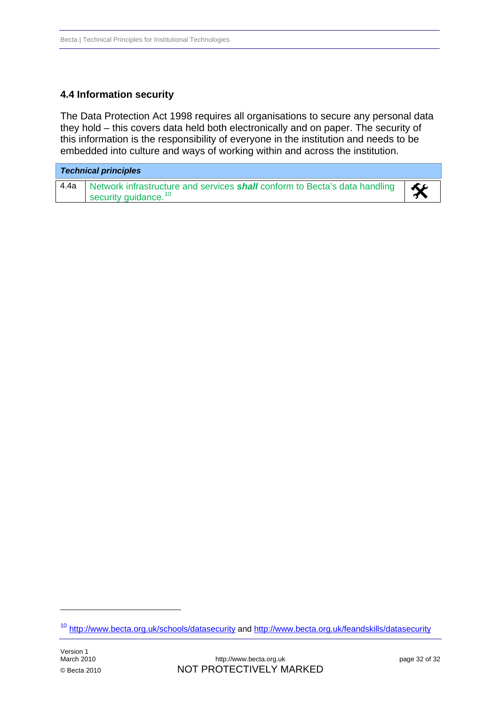# <span id="page-31-0"></span>**4.4 Information security**

The Data Protection Act 1998 requires all organisations to secure any personal data they hold – this covers data held both electronically and on paper. The security of this information is the responsibility of everyone in the institution and needs to be embedded into culture and ways of working within and across the institution.

| <b>Technical principles</b> |                                                                                                                       |    |
|-----------------------------|-----------------------------------------------------------------------------------------------------------------------|----|
| 4.4a                        | Network infrastructure and services <b>shall</b> conform to Becta's data handling<br>security guidance. <sup>10</sup> | Kr |

-

<span id="page-31-1"></span><sup>10</sup> <http://www.becta.org.uk/schools/datasecurity> and<http://www.becta.org.uk/feandskills/datasecurity>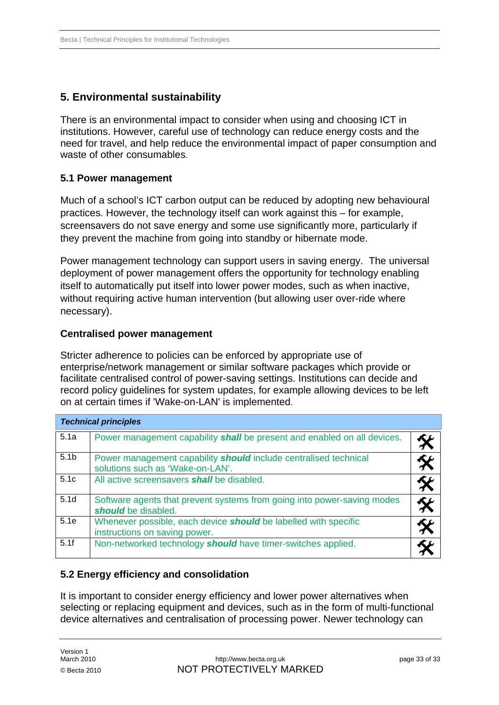# <span id="page-32-0"></span>**5. Environmental sustainability**

There is an environmental impact to consider when using and choosing ICT in institutions. However, careful use of technology can reduce energy costs and the need for travel, and help reduce the environmental impact of paper consumption and waste of other consumables.

# **5.1 Power management**

Much of a school's ICT carbon output can be reduced by adopting new behavioural practices. However, the technology itself can work against this – for example, screensavers do not save energy and some use significantly more, particularly if they prevent the machine from going into standby or hibernate mode.

Power management technology can support users in saving energy. The universal deployment of power management offers the opportunity for technology enabling itself to automatically put itself into lower power modes, such as when inactive, without requiring active human intervention (but allowing user over-ride where necessary).

### **Centralised power management**

Stricter adherence to policies can be enforced by appropriate use of enterprise/network management or similar software packages which provide or facilitate centralised control of power-saving settings. Institutions can decide and record policy guidelines for system updates, for example allowing devices to be left on at certain times if 'Wake-on-LAN' is implemented.

|                  | <b>Technical principles</b>                                                                                 |  |
|------------------|-------------------------------------------------------------------------------------------------------------|--|
| 5.1a             | Power management capability <i>shall</i> be present and enabled on all devices.                             |  |
| 5.1 <sub>b</sub> | Power management capability <b>should</b> include centralised technical<br>solutions such as 'Wake-on-LAN'. |  |
| 5.1c             | All active screensavers <b>shall</b> be disabled.                                                           |  |
| 5.1 <sub>d</sub> | Software agents that prevent systems from going into power-saving modes<br>should be disabled.              |  |
| 5.1e             | Whenever possible, each device should be labelled with specific<br>instructions on saving power.            |  |
| 5.1f             | Non-networked technology should have timer-switches applied.                                                |  |

### **5.2 Energy efficiency and consolidation**

It is important to consider energy efficiency and lower power alternatives when selecting or replacing equipment and devices, such as in the form of multi-functional device alternatives and centralisation of processing power. Newer technology can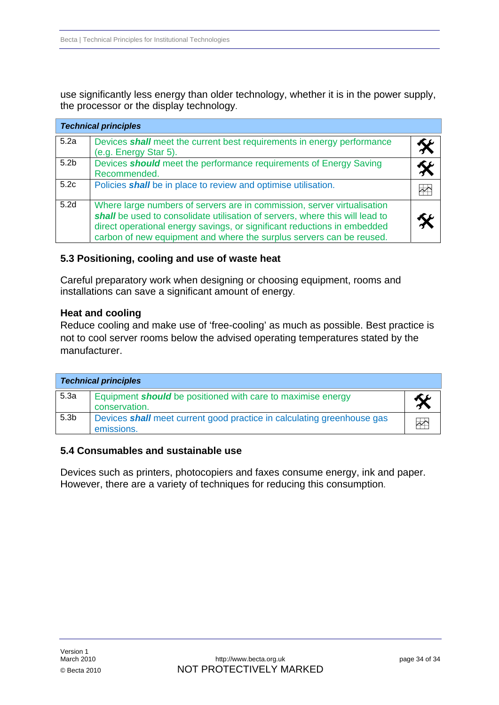<span id="page-33-0"></span>use significantly less energy than older technology, whether it is in the power supply, the processor or the display technology.

|                  | <b>Technical principles</b>                                                                                                                                                                                                                                                                                 |   |
|------------------|-------------------------------------------------------------------------------------------------------------------------------------------------------------------------------------------------------------------------------------------------------------------------------------------------------------|---|
| 5.2a             | Devices shall meet the current best requirements in energy performance<br>(e.g. Energy Star 5).                                                                                                                                                                                                             |   |
| 5.2 <sub>b</sub> | Devices <b>should</b> meet the performance requirements of Energy Saving<br>Recommended.                                                                                                                                                                                                                    |   |
| 5.2c             | Policies shall be in place to review and optimise utilisation.                                                                                                                                                                                                                                              | M |
| 5.2d             | Where large numbers of servers are in commission, server virtualisation<br>shall be used to consolidate utilisation of servers, where this will lead to<br>direct operational energy savings, or significant reductions in embedded<br>carbon of new equipment and where the surplus servers can be reused. |   |

### **5.3 Positioning, cooling and use of waste heat**

Careful preparatory work when designing or choosing equipment, rooms and installations can save a significant amount of energy.

### **Heat and cooling**

Reduce cooling and make use of 'free-cooling' as much as possible. Best practice is not to cool server rooms below the advised operating temperatures stated by the manufacturer.

| <b>Technical principles</b> |                                                                                      |                         |  |
|-----------------------------|--------------------------------------------------------------------------------------|-------------------------|--|
| 5.3a                        | Equipment <b>should</b> be positioned with care to maximise energy<br>conservation.  |                         |  |
| 5.3 <sub>b</sub>            | Devices shall meet current good practice in calculating greenhouse gas<br>emissions. | $\overline{\mathbf{r}}$ |  |

### **5.4 Consumables and sustainable use**

Devices such as printers, photocopiers and faxes consume energy, ink and paper. However, there are a variety of techniques for reducing this consumption.